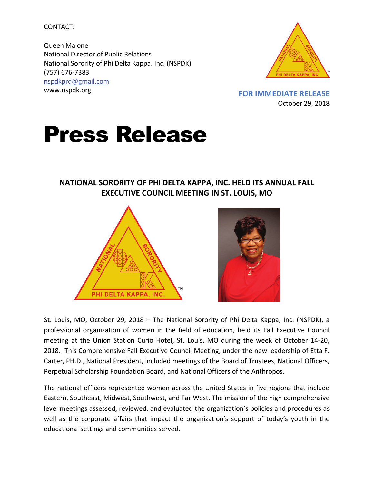CONTACT:

Queen Malone National Director of Public Relations National Sorority of Phi Delta Kappa, Inc. (NSPDK) (757) 676-7383 [nspdkprd@gmail.com](mailto:nspdkprd@gmail.com) www.nspdk.org **FOR IMMEDIATE RELEASE**



October 29, 2018

## Press Release

## **NATIONAL SORORITY OF PHI DELTA KAPPA, INC. HELD ITS ANNUAL FALL EXECUTIVE COUNCIL MEETING IN ST. LOUIS, MO**





St. Louis, MO, October 29, 2018 – The National Sorority of Phi Delta Kappa, Inc. (NSPDK), a professional organization of women in the field of education, held its Fall Executive Council meeting at the Union Station Curio Hotel, St. Louis, MO during the week of October 14-20, 2018. This Comprehensive Fall Executive Council Meeting, under the new leadership of Etta F. Carter, PH.D., National President, included meetings of the Board of Trustees, National Officers, Perpetual Scholarship Foundation Board, and National Officers of the Anthropos.

The national officers represented women across the United States in five regions that include Eastern, Southeast, Midwest, Southwest, and Far West. The mission of the high comprehensive level meetings assessed, reviewed, and evaluated the organization's policies and procedures as well as the corporate affairs that impact the organization's support of today's youth in the educational settings and communities served.